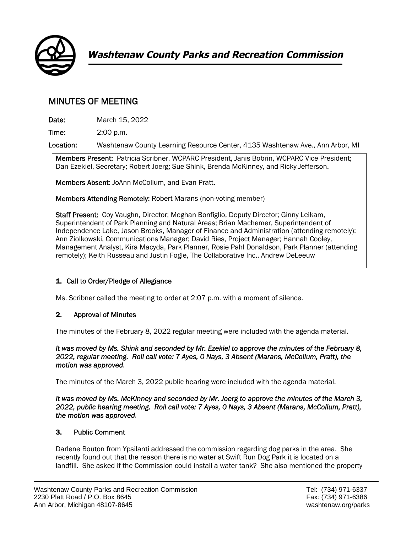

# MINUTES OF MEETING

Date: March 15, 2022

Time: 2:00 p.m.

Location: Washtenaw County Learning Resource Center, 4135 Washtenaw Ave., Ann Arbor, MI

Members Present: Patricia Scribner, WCPARC President, Janis Bobrin, WCPARC Vice President; Dan Ezekiel, Secretary; Robert Joerg; Sue Shink, Brenda McKinney, and Ricky Jefferson.

Members Absent: JoAnn McCollum, and Evan Pratt.

Members Attending Remotely: Robert Marans (non-voting member)

Staff Present: Coy Vaughn, Director; Meghan Bonfiglio, Deputy Director; Ginny Leikam, Superintendent of Park Planning and Natural Areas; Brian Machemer, Superintendent of Independence Lake, Jason Brooks, Manager of Finance and Administration (attending remotely); Ann Ziolkowski, Communications Manager; David Ries, Project Manager; Hannah Cooley, Management Analyst, Kira Macyda, Park Planner, Rosie Pahl Donaldson, Park Planner (attending remotely); Keith Russeau and Justin Fogle, The Collaborative Inc., Andrew DeLeeuw

# 1. Call to Order/Pledge of Allegiance

Ms. Scribner called the meeting to order at 2:07 p.m. with a moment of silence.

# 2. Approval of Minutes

The minutes of the February 8, 2022 regular meeting were included with the agenda material.

*It was moved by Ms. Shink and seconded by Mr. Ezekiel to approve the minutes of the February 8, 2022, regular meeting. Roll call vote: 7 Ayes, 0 Nays, 3 Absent (Marans, McCollum, Pratt), the motion was approved.* 

The minutes of the March 3, 2022 public hearing were included with the agenda material.

*It was moved by Ms. McKinney and seconded by Mr. Joerg to approve the minutes of the March 3, 2022, public hearing meeting. Roll call vote: 7 Ayes, 0 Nays, 3 Absent (Marans, McCollum, Pratt), the motion was approved.* 

# 3. Public Comment

Darlene Bouton from Ypsilanti addressed the commission regarding dog parks in the area. She recently found out that the reason there is no water at Swift Run Dog Park it is located on a landfill. She asked if the Commission could install a water tank? She also mentioned the property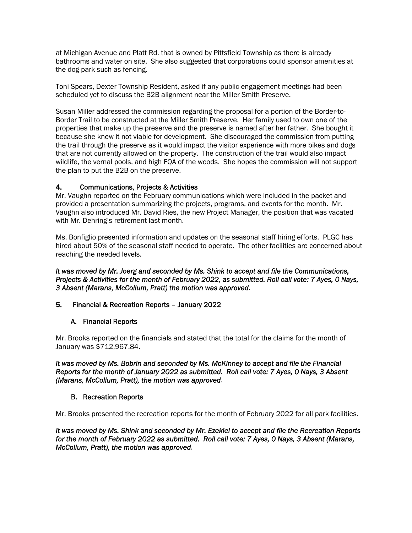at Michigan Avenue and Platt Rd. that is owned by Pittsfield Township as there is already bathrooms and water on site. She also suggested that corporations could sponsor amenities at the dog park such as fencing.

Toni Spears, Dexter Township Resident, asked if any public engagement meetings had been scheduled yet to discuss the B2B alignment near the Miller Smith Preserve.

Susan Miller addressed the commission regarding the proposal for a portion of the Border-to-Border Trail to be constructed at the Miller Smith Preserve. Her family used to own one of the properties that make up the preserve and the preserve is named after her father. She bought it because she knew it not viable for development. She discouraged the commission from putting the trail through the preserve as it would impact the visitor experience with more bikes and dogs that are not currently allowed on the property. The construction of the trail would also impact wildlife, the vernal pools, and high FQA of the woods. She hopes the commission will not support the plan to put the B2B on the preserve.

#### 4. Communications, Projects & Activities

Mr. Vaughn reported on the February communications which were included in the packet and provided a presentation summarizing the projects, programs, and events for the month. Mr. Vaughn also introduced Mr. David Ries, the new Project Manager, the position that was vacated with Mr. Dehring's retirement last month.

Ms. Bonfiglio presented information and updates on the seasonal staff hiring efforts. PLGC has hired about 50% of the seasonal staff needed to operate. The other facilities are concerned about reaching the needed levels.

#### *It was moved by Mr. Joerg and seconded by Ms. Shink to accept and file the Communications, Projects & Activities for the month of February 2022, as submitted. Roll call vote: 7 Ayes, 0 Nays, 3 Absent (Marans, McCollum, Pratt) the motion was approved.*

#### 5. Financial & Recreation Reports – January 2022

#### A. Financial Reports

Mr. Brooks reported on the financials and stated that the total for the claims for the month of January was \$712,967.84.

*It was moved by Ms. Bobrin and seconded by Ms. McKinney to accept and file the Financial Reports for the month of January 2022 as submitted. Roll call vote: 7 Ayes, 0 Nays, 3 Absent (Marans, McCollum, Pratt), the motion was approved.* 

#### B. Recreation Reports

Mr. Brooks presented the recreation reports for the month of February 2022 for all park facilities.

*It was moved by Ms. Shink and seconded by Mr. Ezekiel to accept and file the Recreation Reports for the month of February 2022 as submitted. Roll call vote: 7 Ayes, 0 Nays, 3 Absent (Marans, McCollum, Pratt), the motion was approved.*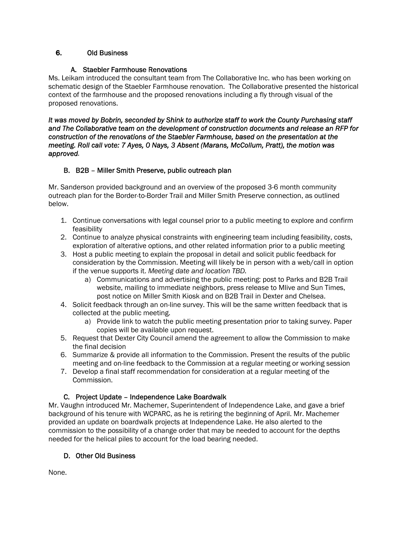#### 6. Old Business

#### A. Staebler Farmhouse Renovations

Ms. Leikam introduced the consultant team from The Collaborative Inc. who has been working on schematic design of the Staebler Farmhouse renovation. The Collaborative presented the historical context of the farmhouse and the proposed renovations including a fly through visual of the proposed renovations.

*It was moved by Bobrin, seconded by Shink to authorize staff to work the County Purchasing staff and The Collaborative team on the development of construction documents and release an RFP for construction of the renovations of the Staebler Farmhouse, based on the presentation at the meeting. Roll call vote: 7 Ayes, 0 Nays, 3 Absent (Marans, McCollum, Pratt), the motion was approved.* 

# B. B2B – Miller Smith Preserve, public outreach plan

Mr. Sanderson provided background and an overview of the proposed 3-6 month community outreach plan for the Border-to-Border Trail and Miller Smith Preserve connection, as outlined below.

- 1. Continue conversations with legal counsel prior to a public meeting to explore and confirm feasibility
- 2. Continue to analyze physical constraints with engineering team including feasibility, costs, exploration of alterative options, and other related information prior to a public meeting
- 3. Host a public meeting to explain the proposal in detail and solicit public feedback for consideration by the Commission. Meeting will likely be in person with a web/call in option if the venue supports it. *Meeting date and location TBD.*
	- a) Communications and advertising the public meeting: post to Parks and B2B Trail website, mailing to immediate neighbors, press release to Mlive and Sun Times, post notice on Miller Smith Kiosk and on B2B Trail in Dexter and Chelsea.
- 4. Solicit feedback through an on-line survey. This will be the same written feedback that is collected at the public meeting.
	- a) Provide link to watch the public meeting presentation prior to taking survey. Paper copies will be available upon request.
- 5. Request that Dexter City Council amend the agreement to allow the Commission to make the final decision
- 6. Summarize & provide all information to the Commission. Present the results of the public meeting and on-line feedback to the Commission at a regular meeting or working session
- 7. Develop a final staff recommendation for consideration at a regular meeting of the Commission.

# C. Project Update – Independence Lake Boardwalk

Mr. Vaughn introduced Mr. Machemer, Superintendent of Independence Lake, and gave a brief background of his tenure with WCPARC, as he is retiring the beginning of April. Mr. Machemer provided an update on boardwalk projects at Independence Lake. He also alerted to the commission to the possibility of a change order that may be needed to account for the depths needed for the helical piles to account for the load bearing needed.

#### D. Other Old Business

None.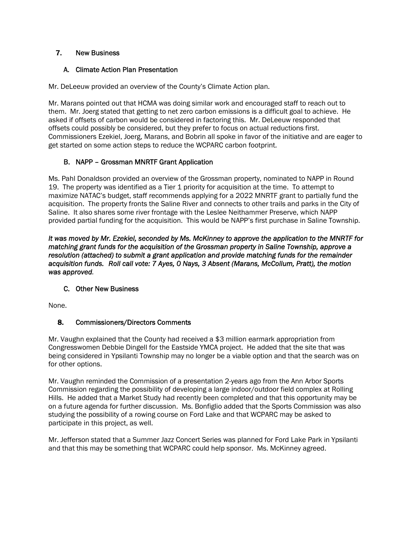#### 7. New Business

#### A. Climate Action Plan Presentation

Mr. DeLeeuw provided an overview of the County's Climate Action plan.

Mr. Marans pointed out that HCMA was doing similar work and encouraged staff to reach out to them. Mr. Joerg stated that getting to net zero carbon emissions is a difficult goal to achieve. He asked if offsets of carbon would be considered in factoring this. Mr. DeLeeuw responded that offsets could possibly be considered, but they prefer to focus on actual reductions first. Commissioners Ezekiel, Joerg, Marans, and Bobrin all spoke in favor of the initiative and are eager to get started on some action steps to reduce the WCPARC carbon footprint.

# B. NAPP – Grossman MNRTF Grant Application

Ms. Pahl Donaldson provided an overview of the Grossman property, nominated to NAPP in Round 19. The property was identified as a Tier 1 priority for acquisition at the time. To attempt to maximize NATAC's budget, staff recommends applying for a 2022 MNRTF grant to partially fund the acquisition. The property fronts the Saline River and connects to other trails and parks in the City of Saline. It also shares some river frontage with the Leslee Neithammer Preserve, which NAPP provided partial funding for the acquisition. This would be NAPP's first purchase in Saline Township.

*It was moved by Mr. Ezekiel, seconded by Ms. McKinney to approve the application to the MNRTF for matching grant funds for the acquisition of the Grossman property in Saline Township, approve a resolution (attached) to submit a grant application and provide matching funds for the remainder acquisition funds. Roll call vote: 7 Ayes, 0 Nays, 3 Absent (Marans, McCollum, Pratt), the motion was approved.* 

# C. Other New Business

None.

# 8. Commissioners/Directors Comments

Mr. Vaughn explained that the County had received a \$3 million earmark appropriation from Congresswomen Debbie Dingell for the Eastside YMCA project. He added that the site that was being considered in Ypsilanti Township may no longer be a viable option and that the search was on for other options.

Mr. Vaughn reminded the Commission of a presentation 2-years ago from the Ann Arbor Sports Commission regarding the possibility of developing a large indoor/outdoor field complex at Rolling Hills. He added that a Market Study had recently been completed and that this opportunity may be on a future agenda for further discussion. Ms. Bonfiglio added that the Sports Commission was also studying the possibility of a rowing course on Ford Lake and that WCPARC may be asked to participate in this project, as well.

Mr. Jefferson stated that a Summer Jazz Concert Series was planned for Ford Lake Park in Ypsilanti and that this may be something that WCPARC could help sponsor. Ms. McKinney agreed.